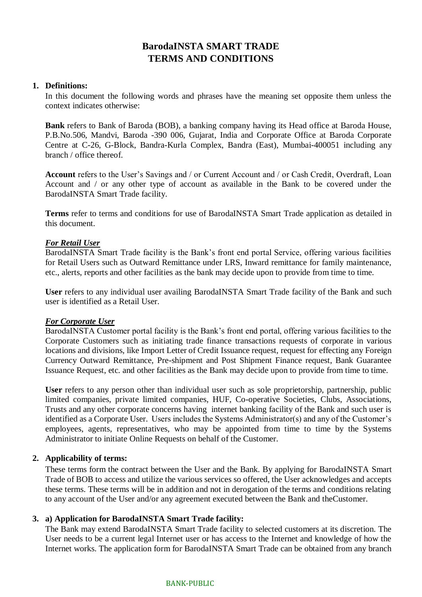# **BarodaINSTA SMART TRADE TERMS AND CONDITIONS**

# **1. Definitions:**

In this document the following words and phrases have the meaning set opposite them unless the context indicates otherwise:

**Bank** refers to Bank of Baroda (BOB), a banking company having its Head office at Baroda House, P.B.No.506, Mandvi, Baroda -390 006, Gujarat, India and Corporate Office at Baroda Corporate Centre at C-26, G-Block, Bandra-Kurla Complex, Bandra (East), Mumbai-400051 including any branch / office thereof.

**Account** refers to the User's Savings and / or Current Account and / or Cash Credit, Overdraft, Loan Account and / or any other type of account as available in the Bank to be covered under the BarodaINSTA Smart Trade facility.

**Terms** refer to terms and conditions for use of BarodaINSTA Smart Trade application as detailed in this document.

# *For Retail User*

BarodaINSTA Smart Trade facility is the Bank's front end portal Service, offering various facilities for Retail Users such as Outward Remittance under LRS, Inward remittance for family maintenance, etc., alerts, reports and other facilities as the bank may decide upon to provide from time to time.

**User** refers to any individual user availing BarodaINSTA Smart Trade facility of the Bank and such user is identified as a Retail User.

# *For Corporate User*

BarodaINSTA Customer portal facility is the Bank's front end portal, offering various facilities to the Corporate Customers such as initiating trade finance transactions requests of corporate in various locations and divisions, like Import Letter of Credit Issuance request, request for effecting any Foreign Currency Outward Remittance, Pre-shipment and Post Shipment Finance request, Bank Guarantee Issuance Request, etc. and other facilities as the Bank may decide upon to provide from time to time.

**User** refers to any person other than individual user such as sole proprietorship, partnership, public limited companies, private limited companies, HUF, Co-operative Societies, Clubs, Associations, Trusts and any other corporate concerns having internet banking facility of the Bank and such user is identified as a Corporate User. Users includes the Systems Administrator(s) and any of the Customer's employees, agents, representatives, who may be appointed from time to time by the Systems Administrator to initiate Online Requests on behalf of the Customer.

# **2. Applicability of terms:**

These terms form the contract between the User and the Bank. By applying for BarodaINSTA Smart Trade of BOB to access and utilize the various services so offered, the User acknowledges and accepts these terms. These terms will be in addition and not in derogation of the terms and conditions relating to any account of the User and/or any agreement executed between the Bank and theCustomer.

# **3. a) Application for BarodaINSTA Smart Trade facility:**

The Bank may extend BarodaINSTA Smart Trade facility to selected customers at its discretion. The User needs to be a current legal Internet user or has access to the Internet and knowledge of how the Internet works. The application form for BarodaINSTA Smart Trade can be obtained from any branch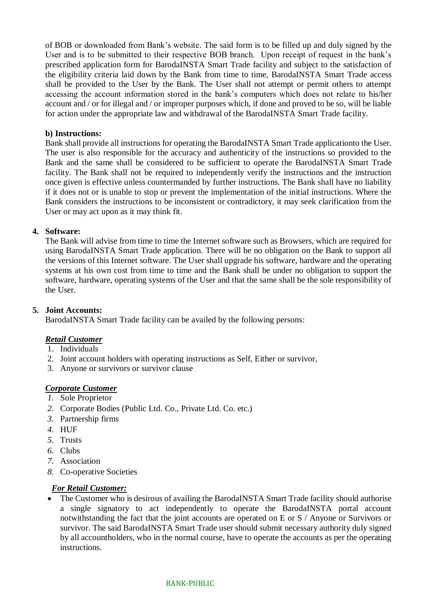of BOB or downloaded from Bank's website. The said form is to be filled up and duly signed by the User and is to be submitted to their respective BOB branch. Upon receipt of request in the bank's prescribed application form for BarodaINSTA Smart Trade facility and subject to the satisfaction of the eligibility criteria laid down by the Bank from time to time, BarodaINSTA Smart Trade access shall be provided to the User by the Bank. The User shall not attempt or permit others to attempt accessing the account information stored in the bank's computers which does not relate to his/her account and / or for illegal and / or improper purposes which, if done and proved to be so, will be liable for action under the appropriate law and withdrawal of the BarodaINSTA Smart Trade facility.

# **b) Instructions:**

Bank shall provide all instructions for operating the BarodaINSTA Smart Trade applicationto the User. The user is also responsible for the accuracy and authenticity of the instructions so provided to the Bank and the same shall be considered to be sufficient to operate the BarodaINSTA Smart Trade facility. The Bank shall not be required to independently verify the instructions and the instruction once given is effective unless countermanded by further instructions. The Bank shall have no liability if it does not or is unable to stop or prevent the implementation of the initial instructions. Where the Bank considers the instructions to be inconsistent or contradictory, it may seek clarification from the User or may act upon as it may think fit.

# **4. Software:**

The Bank will advise from time to time the Internet software such as Browsers, which are required for using BarodaINSTA Smart Trade application. There will be no obligation on the Bank to support all the versions of this Internet software. The User shall upgrade his software, hardware and the operating systems at his own cost from time to time and the Bank shall be under no obligation to support the software, hardware, operating systems of the User and that the same shall be the sole responsibility of the User.

# **5. Joint Accounts:**

BarodaINSTA Smart Trade facility can be availed by the following persons:

# *Retail Customer*

- 1. Individuals
- 2. Joint account holders with operating instructions as Self, Either or survivor,
- 3. Anyone or survivors or survivor clause

# *Corporate Customer*

- *1.* Sole Proprietor
- *2.* Corporate Bodies (Public Ltd. Co., Private Ltd. Co. etc.)
- *3.* Partnership firms
- *4.* HUF
- *5.* Trusts
- *6.* Clubs
- *7.* Association
- *8.* Co-operative Societies

# *For Retail Customer:*

• The Customer who is desirous of availing the BarodaINSTA Smart Trade facility should authorise a single signatory to act independently to operate the BarodaINSTA portal account notwithstanding the fact that the joint accounts are operated on E or S / Anyone or Survivors or survivor. The said BarodaINSTA Smart Trade user should submit necessary authority duly signed by all accountholders, who in the normal course, have to operate the accounts as per the operating instructions.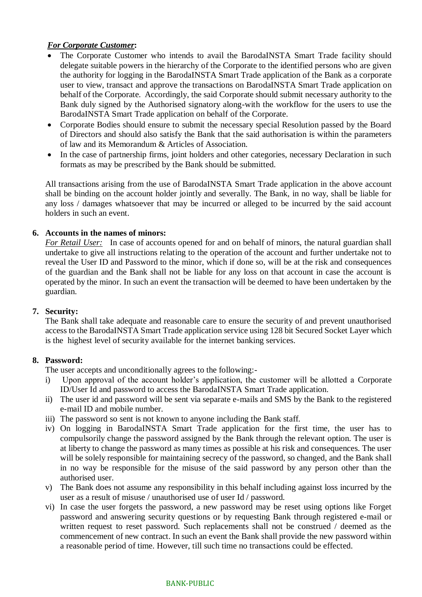# *For Corporate Customer***:**

- The Corporate Customer who intends to avail the BarodaINSTA Smart Trade facility should delegate suitable powers in the hierarchy of the Corporate to the identified persons who are given the authority for logging in the BarodaINSTA Smart Trade application of the Bank as a corporate user to view, transact and approve the transactions on BarodaINSTA Smart Trade application on behalf of the Corporate. Accordingly, the said Corporate should submit necessary authority to the Bank duly signed by the Authorised signatory along-with the workflow for the users to use the BarodaINSTA Smart Trade application on behalf of the Corporate.
- Corporate Bodies should ensure to submit the necessary special Resolution passed by the Board of Directors and should also satisfy the Bank that the said authorisation is within the parameters of law and its Memorandum & Articles of Association.
- In the case of partnership firms, joint holders and other categories, necessary Declaration in such formats as may be prescribed by the Bank should be submitted.

All transactions arising from the use of BarodaINSTA Smart Trade application in the above account shall be binding on the account holder jointly and severally. The Bank, in no way, shall be liable for any loss / damages whatsoever that may be incurred or alleged to be incurred by the said account holders in such an event.

# **6. Accounts in the names of minors:**

*For Retail User:* In case of accounts opened for and on behalf of minors, the natural guardian shall undertake to give all instructions relating to the operation of the account and further undertake not to reveal the User ID and Password to the minor, which if done so, will be at the risk and consequences of the guardian and the Bank shall not be liable for any loss on that account in case the account is operated by the minor. In such an event the transaction will be deemed to have been undertaken by the guardian.

# **7. Security:**

The Bank shall take adequate and reasonable care to ensure the security of and prevent unauthorised access to the BarodaINSTA Smart Trade application service using 128 bit Secured Socket Layer which is the highest level of security available for the internet banking services.

# **8. Password:**

The user accepts and unconditionally agrees to the following:-

- i) Upon approval of the account holder's application, the customer will be allotted a Corporate ID/User Id and password to access the BarodaINSTA Smart Trade application.
- ii) The user id and password will be sent via separate e-mails and SMS by the Bank to the registered e-mail ID and mobile number.
- iii) The password so sent is not known to anyone including the Bank staff.
- iv) On logging in BarodaINSTA Smart Trade application for the first time, the user has to compulsorily change the password assigned by the Bank through the relevant option. The user is at liberty to change the password as many times as possible at his risk and consequences. The user will be solely responsible for maintaining secrecy of the password, so changed, and the Bank shall in no way be responsible for the misuse of the said password by any person other than the authorised user.
- v) The Bank does not assume any responsibility in this behalf including against loss incurred by the user as a result of misuse / unauthorised use of user Id / password.
- vi) In case the user forgets the password, a new password may be reset using options like Forget password and answering security questions or by requesting Bank through registered e-mail or written request to reset password. Such replacements shall not be construed / deemed as the commencement of new contract. In such an event the Bank shall provide the new password within a reasonable period of time. However, till such time no transactions could be effected.

#### BANK-PUBLIC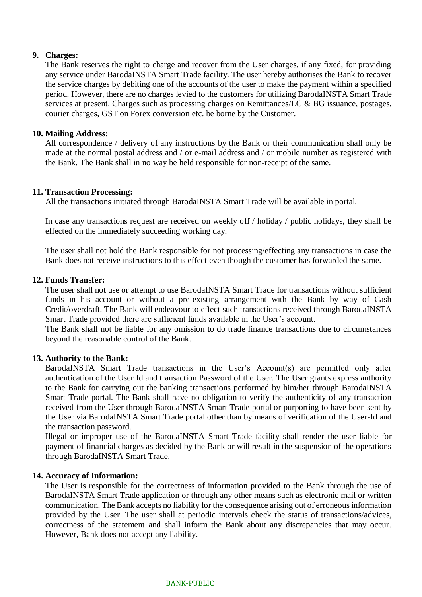# **9. Charges:**

The Bank reserves the right to charge and recover from the User charges, if any fixed, for providing any service under BarodaINSTA Smart Trade facility. The user hereby authorises the Bank to recover the service charges by debiting one of the accounts of the user to make the payment within a specified period. However, there are no charges levied to the customers for utilizing BarodaINSTA Smart Trade services at present. Charges such as processing charges on Remittances/LC & BG issuance, postages, courier charges, GST on Forex conversion etc. be borne by the Customer.

# **10. Mailing Address:**

All correspondence / delivery of any instructions by the Bank or their communication shall only be made at the normal postal address and / or e-mail address and / or mobile number as registered with the Bank. The Bank shall in no way be held responsible for non-receipt of the same.

#### **11. Transaction Processing:**

All the transactions initiated through BarodaINSTA Smart Trade will be available in portal.

In case any transactions request are received on weekly off / holiday / public holidays, they shall be effected on the immediately succeeding working day.

The user shall not hold the Bank responsible for not processing/effecting any transactions in case the Bank does not receive instructions to this effect even though the customer has forwarded the same.

# **12. Funds Transfer:**

The user shall not use or attempt to use BarodaINSTA Smart Trade for transactions without sufficient funds in his account or without a pre-existing arrangement with the Bank by way of Cash Credit/overdraft. The Bank will endeavour to effect such transactions received through BarodaINSTA Smart Trade provided there are sufficient funds available in the User's account.

The Bank shall not be liable for any omission to do trade finance transactions due to circumstances beyond the reasonable control of the Bank.

# **13. Authority to the Bank:**

BarodaINSTA Smart Trade transactions in the User's Account(s) are permitted only after authentication of the User Id and transaction Password of the User. The User grants express authority to the Bank for carrying out the banking transactions performed by him/her through BarodaINSTA Smart Trade portal. The Bank shall have no obligation to verify the authenticity of any transaction received from the User through BarodaINSTA Smart Trade portal or purporting to have been sent by the User via BarodaINSTA Smart Trade portal other than by means of verification of the User-Id and the transaction password.

Illegal or improper use of the BarodaINSTA Smart Trade facility shall render the user liable for payment of financial charges as decided by the Bank or will result in the suspension of the operations through BarodaINSTA Smart Trade.

# **14. Accuracy of Information:**

The User is responsible for the correctness of information provided to the Bank through the use of BarodaINSTA Smart Trade application or through any other means such as electronic mail or written communication. The Bank accepts no liability for the consequence arising out of erroneous information provided by the User. The user shall at periodic intervals check the status of transactions/advices, correctness of the statement and shall inform the Bank about any discrepancies that may occur. However, Bank does not accept any liability.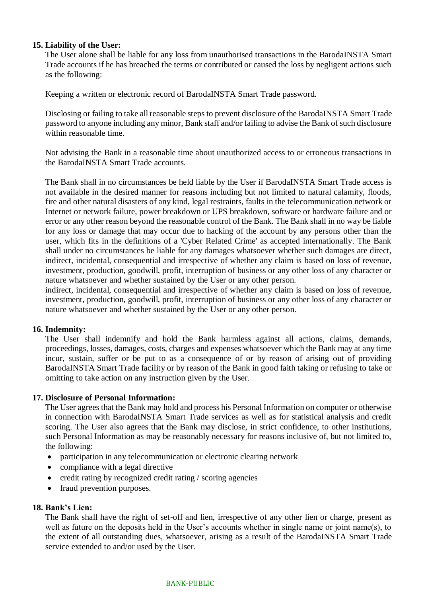# **15. Liability of the User:**

The User alone shall be liable for any loss from unauthorised transactions in the BarodaINSTA Smart Trade accounts if he has breached the terms or contributed or caused the loss by negligent actions such as the following:

Keeping a written or electronic record of BarodaINSTA Smart Trade password.

Disclosing or failing to take all reasonable steps to prevent disclosure of the BarodaINSTA Smart Trade password to anyone including any minor, Bank staff and/or failing to advise the Bank of such disclosure within reasonable time.

Not advising the Bank in a reasonable time about unauthorized access to or erroneous transactions in the BarodaINSTA Smart Trade accounts.

The Bank shall in no circumstances be held liable by the User if BarodaINSTA Smart Trade access is not available in the desired manner for reasons including but not limited to natural calamity, floods, fire and other natural disasters of any kind, legal restraints, faults in the telecommunication network or Internet or network failure, power breakdown or UPS breakdown, software or hardware failure and or error or any other reason beyond the reasonable control of the Bank. The Bank shall in no way be liable for any loss or damage that may occur due to hacking of the account by any persons other than the user, which fits in the definitions of a 'Cyber Related Crime' as accepted internationally. The Bank shall under no circumstances be liable for any damages whatsoever whether such damages are direct, indirect, incidental, consequential and irrespective of whether any claim is based on loss of revenue, investment, production, goodwill, profit, interruption of business or any other loss of any character or nature whatsoever and whether sustained by the User or any other person.

indirect, incidental, consequential and irrespective of whether any claim is based on loss of revenue, investment, production, goodwill, profit, interruption of business or any other loss of any character or nature whatsoever and whether sustained by the User or any other person.

# **16. Indemnity:**

The User shall indemnify and hold the Bank harmless against all actions, claims, demands, proceedings, losses, damages, costs, charges and expenses whatsoever which the Bank may at any time incur, sustain, suffer or be put to as a consequence of or by reason of arising out of providing BarodaINSTA Smart Trade facility or by reason of the Bank in good faith taking or refusing to take or omitting to take action on any instruction given by the User.

# **17. Disclosure of Personal Information:**

The User agrees that the Bank may hold and process his Personal Information on computer or otherwise in connection with BarodaINSTA Smart Trade services as well as for statistical analysis and credit scoring. The User also agrees that the Bank may disclose, in strict confidence, to other institutions, such Personal Information as may be reasonably necessary for reasons inclusive of, but not limited to, the following:

- participation in any telecommunication or electronic clearing network
- compliance with a legal directive
- credit rating by recognized credit rating / scoring agencies
- fraud prevention purposes.

# **18. Bank's Lien:**

The Bank shall have the right of set-off and lien, irrespective of any other lien or charge, present as well as future on the deposits held in the User's accounts whether in single name or joint name(s), to the extent of all outstanding dues, whatsoever, arising as a result of the BarodaINSTA Smart Trade service extended to and/or used by the User.

#### BANK-PUBLIC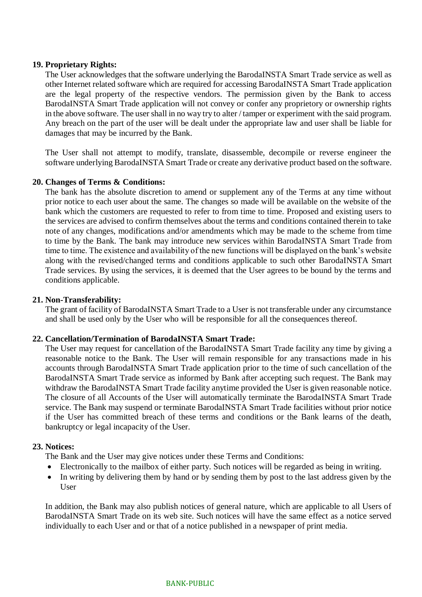# **19. Proprietary Rights:**

The User acknowledges that the software underlying the BarodaINSTA Smart Trade service as well as other Internet related software which are required for accessing BarodaINSTA Smart Trade application are the legal property of the respective vendors. The permission given by the Bank to access BarodaINSTA Smart Trade application will not convey or confer any proprietory or ownership rights in the above software. The user shall in no way try to alter / tamper or experiment with the said program. Any breach on the part of the user will be dealt under the appropriate law and user shall be liable for damages that may be incurred by the Bank.

The User shall not attempt to modify, translate, disassemble, decompile or reverse engineer the software underlying BarodaINSTA Smart Trade or create any derivative product based on the software.

# **20. Changes of Terms & Conditions:**

The bank has the absolute discretion to amend or supplement any of the Terms at any time without prior notice to each user about the same. The changes so made will be available on the website of the bank which the customers are requested to refer to from time to time. Proposed and existing users to the services are advised to confirm themselves about the terms and conditions contained therein to take note of any changes, modifications and/or amendments which may be made to the scheme from time to time by the Bank. The bank may introduce new services within BarodaINSTA Smart Trade from time to time. The existence and availability of the new functions will be displayed on the bank's website along with the revised/changed terms and conditions applicable to such other BarodaINSTA Smart Trade services. By using the services, it is deemed that the User agrees to be bound by the terms and conditions applicable.

### **21. Non-Transferability:**

The grant of facility of BarodaINSTA Smart Trade to a User is not transferable under any circumstance and shall be used only by the User who will be responsible for all the consequences thereof.

# **22. Cancellation/Termination of BarodaINSTA Smart Trade:**

The User may request for cancellation of the BarodaINSTA Smart Trade facility any time by giving a reasonable notice to the Bank. The User will remain responsible for any transactions made in his accounts through BarodaINSTA Smart Trade application prior to the time of such cancellation of the BarodaINSTA Smart Trade service as informed by Bank after accepting such request. The Bank may withdraw the BarodaINSTA Smart Trade facility anytime provided the User is given reasonable notice. The closure of all Accounts of the User will automatically terminate the BarodaINSTA Smart Trade service. The Bank may suspend or terminate BarodaINSTA Smart Trade facilities without prior notice if the User has committed breach of these terms and conditions or the Bank learns of the death, bankruptcy or legal incapacity of the User.

# **23. Notices:**

The Bank and the User may give notices under these Terms and Conditions:

- Electronically to the mailbox of either party. Such notices will be regarded as being in writing.
- In writing by delivering them by hand or by sending them by post to the last address given by the **User**

In addition, the Bank may also publish notices of general nature, which are applicable to all Users of BarodaINSTA Smart Trade on its web site. Such notices will have the same effect as a notice served individually to each User and or that of a notice published in a newspaper of print media.

#### BANK-PUBLIC